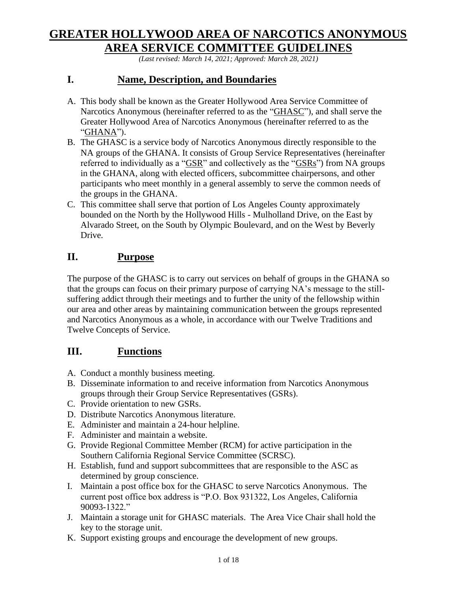# **GREATER HOLLYWOOD AREA OF NARCOTICS ANONYMOUS AREA SERVICE COMMITTEE GUIDELINES**

*(Last revised: March 14, 2021; Approved: March 28, 2021)*

# **I. Name, Description, and Boundaries**

- A. This body shall be known as the Greater Hollywood Area Service Committee of Narcotics Anonymous (hereinafter referred to as the "GHASC"), and shall serve the Greater Hollywood Area of Narcotics Anonymous (hereinafter referred to as the "GHANA").
- B. The GHASC is a service body of Narcotics Anonymous directly responsible to the NA groups of the GHANA. It consists of Group Service Representatives (hereinafter referred to individually as a "GSR" and collectively as the "GSRs") from NA groups in the GHANA, along with elected officers, subcommittee chairpersons, and other participants who meet monthly in a general assembly to serve the common needs of the groups in the GHANA.
- C. This committee shall serve that portion of Los Angeles County approximately bounded on the North by the Hollywood Hills - Mulholland Drive, on the East by Alvarado Street, on the South by Olympic Boulevard, and on the West by Beverly Drive.

# **II. Purpose**

The purpose of the GHASC is to carry out services on behalf of groups in the GHANA so that the groups can focus on their primary purpose of carrying NA's message to the stillsuffering addict through their meetings and to further the unity of the fellowship within our area and other areas by maintaining communication between the groups represented and Narcotics Anonymous as a whole, in accordance with our Twelve Traditions and Twelve Concepts of Service.

# **III. Functions**

- A. Conduct a monthly business meeting.
- B. Disseminate information to and receive information from Narcotics Anonymous groups through their Group Service Representatives (GSRs).
- C. Provide orientation to new GSRs.
- D. Distribute Narcotics Anonymous literature.
- E. Administer and maintain a 24-hour helpline.
- F. Administer and maintain a website.
- G. Provide Regional Committee Member (RCM) for active participation in the Southern California Regional Service Committee (SCRSC).
- H. Establish, fund and support subcommittees that are responsible to the ASC as determined by group conscience.
- I. Maintain a post office box for the GHASC to serve Narcotics Anonymous. The current post office box address is "P.O. Box 931322, Los Angeles, California 90093-1322."
- J. Maintain a storage unit for GHASC materials. The Area Vice Chair shall hold the key to the storage unit.
- K. Support existing groups and encourage the development of new groups.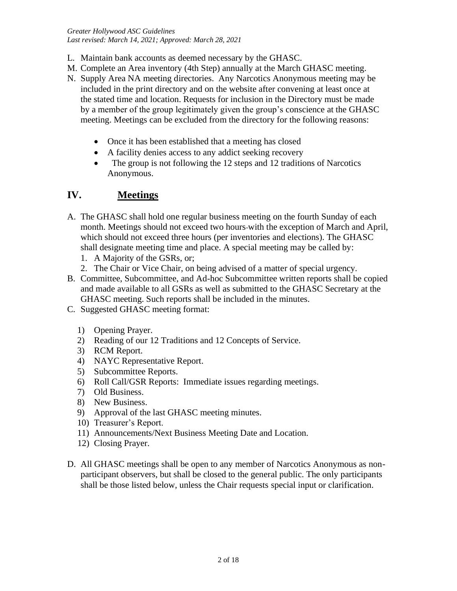*Greater Hollywood ASC Guidelines Last revised: March 14, 2021; Approved: March 28, 2021*

- L. Maintain bank accounts as deemed necessary by the GHASC.
- M. Complete an Area inventory (4th Step) annually at the March GHASC meeting.
- N. Supply Area NA meeting directories. Any Narcotics Anonymous meeting may be included in the print directory and on the website after convening at least once at the stated time and location. Requests for inclusion in the Directory must be made by a member of the group legitimately given the group's conscience at the GHASC meeting. Meetings can be excluded from the directory for the following reasons:
	- Once it has been established that a meeting has closed
	- A facility denies access to any addict seeking recovery
	- The group is not following the 12 steps and 12 traditions of Narcotics Anonymous.

# **IV. Meetings**

- A. The GHASC shall hold one regular business meeting on the fourth Sunday of each month. Meetings should not exceed two hours-with the exception of March and April, which should not exceed three hours (per inventories and elections). The GHASC shall designate meeting time and place. A special meeting may be called by:
	- 1. A Majority of the GSRs, or;
	- 2. The Chair or Vice Chair, on being advised of a matter of special urgency.
- B. Committee, Subcommittee, and Ad-hoc Subcommittee written reports shall be copied and made available to all GSRs as well as submitted to the GHASC Secretary at the GHASC meeting. Such reports shall be included in the minutes.
- C. Suggested GHASC meeting format:
	- 1) Opening Prayer.
	- 2) Reading of our 12 Traditions and 12 Concepts of Service.
	- 3) RCM Report.
	- 4) NAYC Representative Report.
	- 5) Subcommittee Reports.
	- 6) Roll Call/GSR Reports: Immediate issues regarding meetings.
	- 7) Old Business.
	- 8) New Business.
	- 9) Approval of the last GHASC meeting minutes.
	- 10) Treasurer's Report.
	- 11) Announcements/Next Business Meeting Date and Location.
	- 12) Closing Prayer.
- D. All GHASC meetings shall be open to any member of Narcotics Anonymous as nonparticipant observers, but shall be closed to the general public. The only participants shall be those listed below, unless the Chair requests special input or clarification.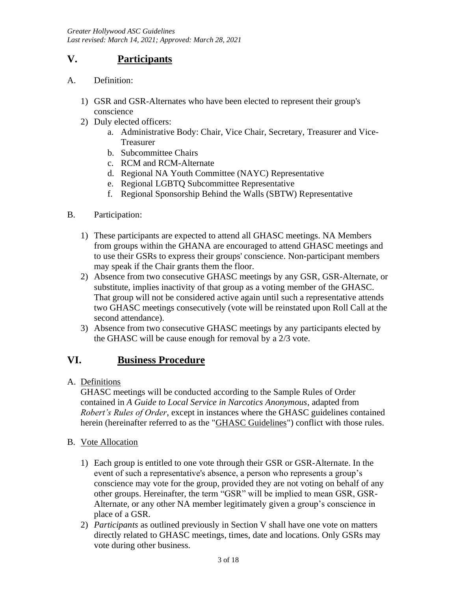# **V. Participants**

- A. Definition:
	- 1) GSR and GSR-Alternates who have been elected to represent their group's conscience
	- 2) Duly elected officers:
		- a. Administrative Body: Chair, Vice Chair, Secretary, Treasurer and Vice-Treasurer
		- b. Subcommittee Chairs
		- c. RCM and RCM-Alternate
		- d. Regional NA Youth Committee (NAYC) Representative
		- e. Regional LGBTQ Subcommittee Representative
		- f. Regional Sponsorship Behind the Walls (SBTW) Representative
- B. Participation:
	- 1) These participants are expected to attend all GHASC meetings. NA Members from groups within the GHANA are encouraged to attend GHASC meetings and to use their GSRs to express their groups' conscience. Non-participant members may speak if the Chair grants them the floor.
	- 2) Absence from two consecutive GHASC meetings by any GSR, GSR-Alternate, or substitute, implies inactivity of that group as a voting member of the GHASC. That group will not be considered active again until such a representative attends two GHASC meetings consecutively (vote will be reinstated upon Roll Call at the second attendance).
	- 3) Absence from two consecutive GHASC meetings by any participants elected by the GHASC will be cause enough for removal by a 2/3 vote.

# **VI. Business Procedure**

A. Definitions

GHASC meetings will be conducted according to the Sample Rules of Order contained in *A Guide to Local Service in Narcotics Anonymous*, adapted from *Robert's Rules of Order*, except in instances where the GHASC guidelines contained herein (hereinafter referred to as the "GHASC Guidelines") conflict with those rules.

- B. Vote Allocation
	- 1) Each group is entitled to one vote through their GSR or GSR-Alternate. In the event of such a representative's absence, a person who represents a group's conscience may vote for the group, provided they are not voting on behalf of any other groups. Hereinafter, the term "GSR" will be implied to mean GSR, GSR-Alternate, or any other NA member legitimately given a group's conscience in place of a GSR.
	- 2) *Participants* as outlined previously in Section V shall have one vote on matters directly related to GHASC meetings, times, date and locations. Only GSRs may vote during other business.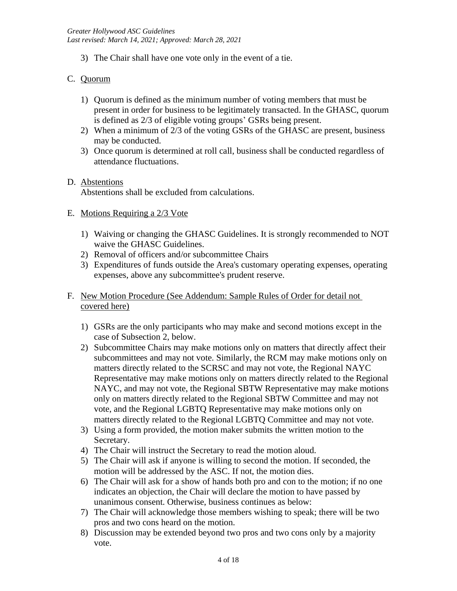3) The Chair shall have one vote only in the event of a tie.

## C. Quorum

- 1) Quorum is defined as the minimum number of voting members that must be present in order for business to be legitimately transacted. In the GHASC, quorum is defined as 2/3 of eligible voting groups' GSRs being present.
- 2) When a minimum of 2/3 of the voting GSRs of the GHASC are present, business may be conducted.
- 3) Once quorum is determined at roll call, business shall be conducted regardless of attendance fluctuations.

#### D. Abstentions

Abstentions shall be excluded from calculations.

### E. Motions Requiring a 2/3 Vote

- 1) Waiving or changing the GHASC Guidelines. It is strongly recommended to NOT waive the GHASC Guidelines.
- 2) Removal of officers and/or subcommittee Chairs
- 3) Expenditures of funds outside the Area's customary operating expenses, operating expenses, above any subcommittee's prudent reserve.
- F. New Motion Procedure (See Addendum: Sample Rules of Order for detail not covered here)
	- 1) GSRs are the only participants who may make and second motions except in the case of Subsection 2, below.
	- 2) Subcommittee Chairs may make motions only on matters that directly affect their subcommittees and may not vote. Similarly, the RCM may make motions only on matters directly related to the SCRSC and may not vote, the Regional NAYC Representative may make motions only on matters directly related to the Regional NAYC, and may not vote, the Regional SBTW Representative may make motions only on matters directly related to the Regional SBTW Committee and may not vote, and the Regional LGBTQ Representative may make motions only on matters directly related to the Regional LGBTQ Committee and may not vote.
	- 3) Using a form provided, the motion maker submits the written motion to the Secretary.
	- 4) The Chair will instruct the Secretary to read the motion aloud.
	- 5) The Chair will ask if anyone is willing to second the motion. If seconded, the motion will be addressed by the ASC. If not, the motion dies.
	- 6) The Chair will ask for a show of hands both pro and con to the motion; if no one indicates an objection, the Chair will declare the motion to have passed by unanimous consent. Otherwise, business continues as below:
	- 7) The Chair will acknowledge those members wishing to speak; there will be two pros and two cons heard on the motion.
	- 8) Discussion may be extended beyond two pros and two cons only by a majority vote.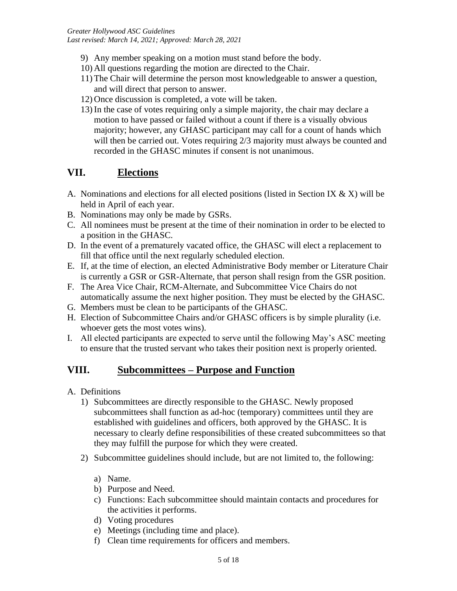- 9) Any member speaking on a motion must stand before the body.
- 10) All questions regarding the motion are directed to the Chair.
- 11) The Chair will determine the person most knowledgeable to answer a question, and will direct that person to answer.
- 12) Once discussion is completed, a vote will be taken.
- 13) In the case of votes requiring only a simple majority, the chair may declare a motion to have passed or failed without a count if there is a visually obvious majority; however, any GHASC participant may call for a count of hands which will then be carried out. Votes requiring 2/3 majority must always be counted and recorded in the GHASC minutes if consent is not unanimous.

# **VII. Elections**

- A. Nominations and elections for all elected positions (listed in Section IX  $\&$  X) will be held in April of each year.
- B. Nominations may only be made by GSRs.
- C. All nominees must be present at the time of their nomination in order to be elected to a position in the GHASC.
- D. In the event of a prematurely vacated office, the GHASC will elect a replacement to fill that office until the next regularly scheduled election.
- E. If, at the time of election, an elected Administrative Body member or Literature Chair is currently a GSR or GSR-Alternate, that person shall resign from the GSR position.
- F. The Area Vice Chair, RCM-Alternate, and Subcommittee Vice Chairs do not automatically assume the next higher position. They must be elected by the GHASC.
- G. Members must be clean to be participants of the GHASC.
- H. Election of Subcommittee Chairs and/or GHASC officers is by simple plurality (i.e. whoever gets the most votes wins).
- I. All elected participants are expected to serve until the following May's ASC meeting to ensure that the trusted servant who takes their position next is properly oriented.

# **VIII. Subcommittees – Purpose and Function**

- A. Definitions
	- 1) Subcommittees are directly responsible to the GHASC. Newly proposed subcommittees shall function as ad-hoc (temporary) committees until they are established with guidelines and officers, both approved by the GHASC. It is necessary to clearly define responsibilities of these created subcommittees so that they may fulfill the purpose for which they were created.
	- 2) Subcommittee guidelines should include, but are not limited to, the following:
		- a) Name.
		- b) Purpose and Need.
		- c) Functions: Each subcommittee should maintain contacts and procedures for the activities it performs.
		- d) Voting procedures
		- e) Meetings (including time and place).
		- f) Clean time requirements for officers and members.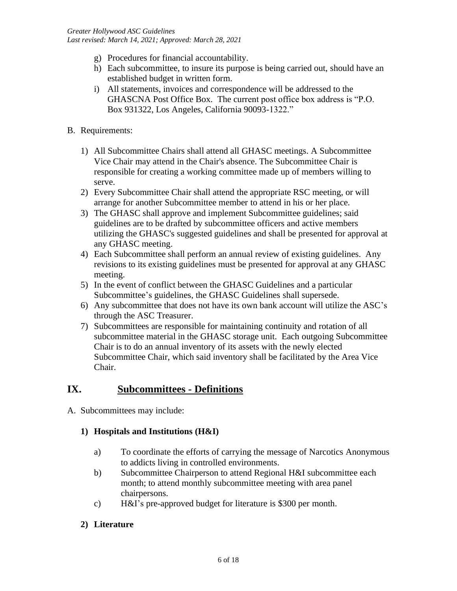- g) Procedures for financial accountability.
- h) Each subcommittee, to insure its purpose is being carried out, should have an established budget in written form.
- i) All statements, invoices and correspondence will be addressed to the GHASCNA Post Office Box. The current post office box address is "P.O. Box 931322, Los Angeles, California 90093-1322."
- B. Requirements:
	- 1) All Subcommittee Chairs shall attend all GHASC meetings. A Subcommittee Vice Chair may attend in the Chair's absence. The Subcommittee Chair is responsible for creating a working committee made up of members willing to serve.
	- 2) Every Subcommittee Chair shall attend the appropriate RSC meeting, or will arrange for another Subcommittee member to attend in his or her place.
	- 3) The GHASC shall approve and implement Subcommittee guidelines; said guidelines are to be drafted by subcommittee officers and active members utilizing the GHASC's suggested guidelines and shall be presented for approval at any GHASC meeting.
	- 4) Each Subcommittee shall perform an annual review of existing guidelines. Any revisions to its existing guidelines must be presented for approval at any GHASC meeting.
	- 5) In the event of conflict between the GHASC Guidelines and a particular Subcommittee's guidelines, the GHASC Guidelines shall supersede.
	- 6) Any subcommittee that does not have its own bank account will utilize the ASC's through the ASC Treasurer.
	- 7) Subcommittees are responsible for maintaining continuity and rotation of all subcommittee material in the GHASC storage unit. Each outgoing Subcommittee Chair is to do an annual inventory of its assets with the newly elected Subcommittee Chair, which said inventory shall be facilitated by the Area Vice Chair.

# **IX. Subcommittees - Definitions**

A. Subcommittees may include:

### **1) Hospitals and Institutions (H&I)**

- a) To coordinate the efforts of carrying the message of Narcotics Anonymous to addicts living in controlled environments.
- b) Subcommittee Chairperson to attend Regional H&I subcommittee each month; to attend monthly subcommittee meeting with area panel chairpersons.
- c) H&I's pre-approved budget for literature is \$300 per month.

### **2) Literature**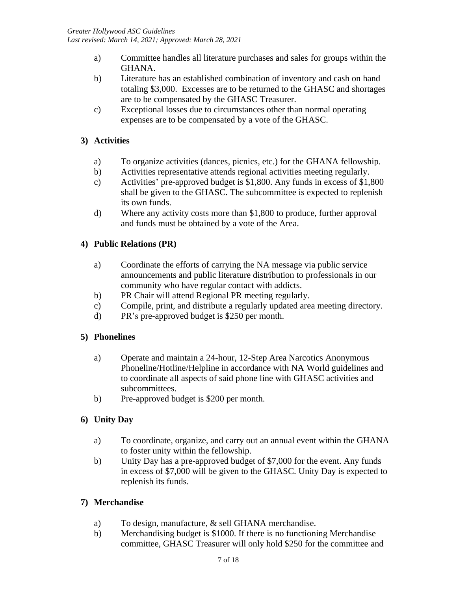- a) Committee handles all literature purchases and sales for groups within the GHANA.
- b) Literature has an established combination of inventory and cash on hand totaling \$3,000. Excesses are to be returned to the GHASC and shortages are to be compensated by the GHASC Treasurer.
- c) Exceptional losses due to circumstances other than normal operating expenses are to be compensated by a vote of the GHASC.

# **3) Activities**

- a) To organize activities (dances, picnics, etc.) for the GHANA fellowship.
- b) Activities representative attends regional activities meeting regularly.
- c) Activities' pre-approved budget is \$1,800. Any funds in excess of \$1,800 shall be given to the GHASC. The subcommittee is expected to replenish its own funds.
- d) Where any activity costs more than \$1,800 to produce, further approval and funds must be obtained by a vote of the Area.

# **4) Public Relations (PR)**

- a) Coordinate the efforts of carrying the NA message via public service announcements and public literature distribution to professionals in our community who have regular contact with addicts.
- b) PR Chair will attend Regional PR meeting regularly.
- c) Compile, print, and distribute a regularly updated area meeting directory.
- d) PR's pre-approved budget is \$250 per month.

# **5) Phonelines**

- a) Operate and maintain a 24-hour, 12-Step Area Narcotics Anonymous Phoneline/Hotline/Helpline in accordance with NA World guidelines and to coordinate all aspects of said phone line with GHASC activities and subcommittees.
- b) Pre-approved budget is \$200 per month.

# **6) Unity Day**

- a) To coordinate, organize, and carry out an annual event within the GHANA to foster unity within the fellowship.
- b) Unity Day has a pre-approved budget of \$7,000 for the event. Any funds in excess of \$7,000 will be given to the GHASC. Unity Day is expected to replenish its funds.

# **7) Merchandise**

- a) To design, manufacture, & sell GHANA merchandise.
- b) Merchandising budget is \$1000. If there is no functioning Merchandise committee, GHASC Treasurer will only hold \$250 for the committee and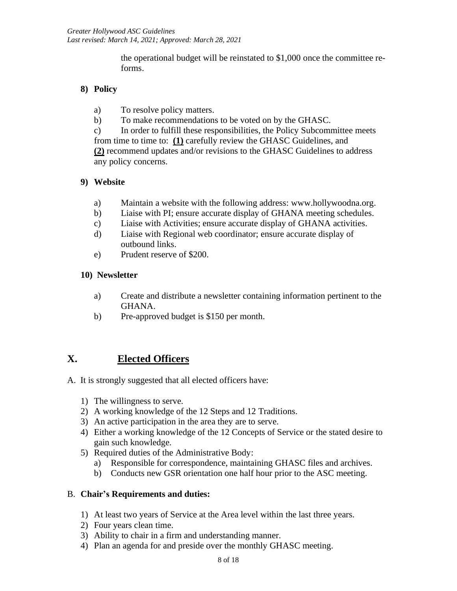the operational budget will be reinstated to \$1,000 once the committee reforms.

# **8) Policy**

- a) To resolve policy matters.
- b) To make recommendations to be voted on by the GHASC.

c) In order to fulfill these responsibilities, the Policy Subcommittee meets from time to time to: **(1)** carefully review the GHASC Guidelines, and **(2)** recommend updates and/or revisions to the GHASC Guidelines to address any policy concerns.

# **9) Website**

- a) Maintain a website with the following address: www.hollywoodna.org.
- b) Liaise with PI; ensure accurate display of GHANA meeting schedules.
- c) Liaise with Activities; ensure accurate display of GHANA activities.
- d) Liaise with Regional web coordinator; ensure accurate display of outbound links.
- e) Prudent reserve of \$200.

## **10) Newsletter**

- a) Create and distribute a newsletter containing information pertinent to the GHANA.
- b) Pre-approved budget is \$150 per month.

# **X. Elected Officers**

A. It is strongly suggested that all elected officers have:

- 1) The willingness to serve.
- 2) A working knowledge of the 12 Steps and 12 Traditions.
- 3) An active participation in the area they are to serve.
- 4) Either a working knowledge of the 12 Concepts of Service or the stated desire to gain such knowledge.
- 5) Required duties of the Administrative Body:
	- a) Responsible for correspondence, maintaining GHASC files and archives.
	- b) Conducts new GSR orientation one half hour prior to the ASC meeting.

# B. **Chair's Requirements and duties:**

- 1) At least two years of Service at the Area level within the last three years.
- 2) Four years clean time.
- 3) Ability to chair in a firm and understanding manner.
- 4) Plan an agenda for and preside over the monthly GHASC meeting.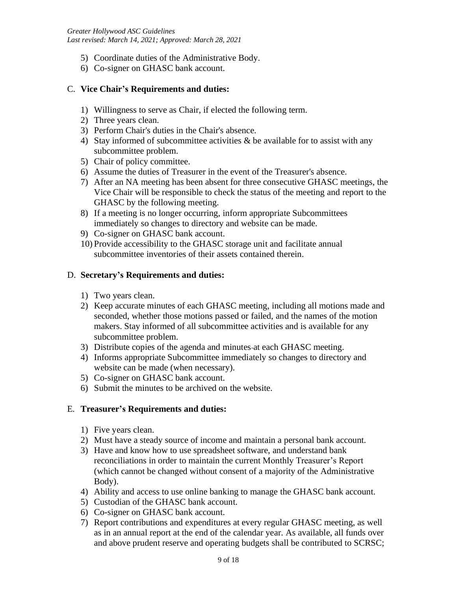- 5) Coordinate duties of the Administrative Body.
- 6) Co-signer on GHASC bank account.

#### C. **Vice Chair's Requirements and duties:**

- 1) Willingness to serve as Chair, if elected the following term.
- 2) Three years clean.
- 3) Perform Chair's duties in the Chair's absence.
- 4) Stay informed of subcommittee activities  $\&$  be available for to assist with any subcommittee problem.
- 5) Chair of policy committee.
- 6) Assume the duties of Treasurer in the event of the Treasurer's absence.
- 7) After an NA meeting has been absent for three consecutive GHASC meetings, the Vice Chair will be responsible to check the status of the meeting and report to the GHASC by the following meeting.
- 8) If a meeting is no longer occurring, inform appropriate Subcommittees immediately so changes to directory and website can be made.
- 9) Co-signer on GHASC bank account.
- 10) Provide accessibility to the GHASC storage unit and facilitate annual subcommittee inventories of their assets contained therein.

#### D. **Secretary's Requirements and duties:**

- 1) Two years clean.
- 2) Keep accurate minutes of each GHASC meeting, including all motions made and seconded, whether those motions passed or failed, and the names of the motion makers. Stay informed of all subcommittee activities and is available for any subcommittee problem.
- 3) Distribute copies of the agenda and minutes at each GHASC meeting.
- 4) Informs appropriate Subcommittee immediately so changes to directory and website can be made (when necessary).
- 5) Co-signer on GHASC bank account.
- 6) Submit the minutes to be archived on the website.

### E. **Treasurer's Requirements and duties:**

- 1) Five years clean.
- 2) Must have a steady source of income and maintain a personal bank account.
- 3) Have and know how to use spreadsheet software, and understand bank reconciliations in order to maintain the current Monthly Treasurer's Report (which cannot be changed without consent of a majority of the Administrative Body).
- 4) Ability and access to use online banking to manage the GHASC bank account.
- 5) Custodian of the GHASC bank account.
- 6) Co-signer on GHASC bank account.
- 7) Report contributions and expenditures at every regular GHASC meeting, as well as in an annual report at the end of the calendar year. As available, all funds over and above prudent reserve and operating budgets shall be contributed to SCRSC;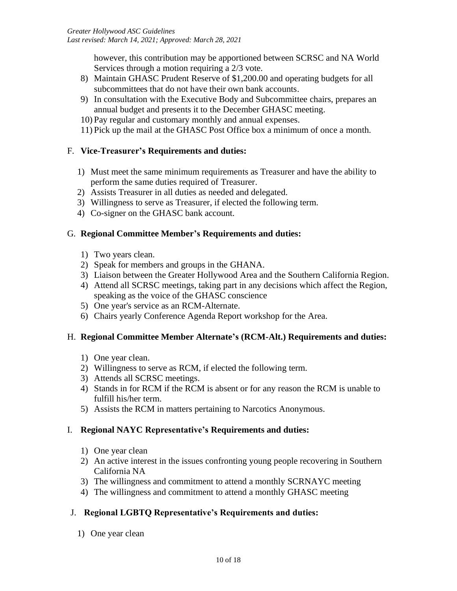however, this contribution may be apportioned between SCRSC and NA World Services through a motion requiring a 2/3 vote.

- 8) Maintain GHASC Prudent Reserve of \$1,200.00 and operating budgets for all subcommittees that do not have their own bank accounts.
- 9) In consultation with the Executive Body and Subcommittee chairs, prepares an annual budget and presents it to the December GHASC meeting.
- 10) Pay regular and customary monthly and annual expenses.
- 11) Pick up the mail at the GHASC Post Office box a minimum of once a month.

## F. **Vice-Treasurer's Requirements and duties:**

- 1) Must meet the same minimum requirements as Treasurer and have the ability to perform the same duties required of Treasurer.
- 2) Assists Treasurer in all duties as needed and delegated.
- 3) Willingness to serve as Treasurer, if elected the following term.
- 4) Co-signer on the GHASC bank account.

## G. **Regional Committee Member's Requirements and duties:**

- 1) Two years clean.
- 2) Speak for members and groups in the GHANA.
- 3) Liaison between the Greater Hollywood Area and the Southern California Region.
- 4) Attend all SCRSC meetings, taking part in any decisions which affect the Region, speaking as the voice of the GHASC conscience
- 5) One year's service as an RCM-Alternate.
- 6) Chairs yearly Conference Agenda Report workshop for the Area.

### H. **Regional Committee Member Alternate's (RCM-Alt.) Requirements and duties:**

- 1) One year clean.
- 2) Willingness to serve as RCM, if elected the following term.
- 3) Attends all SCRSC meetings.
- 4) Stands in for RCM if the RCM is absent or for any reason the RCM is unable to fulfill his/her term.
- 5) Assists the RCM in matters pertaining to Narcotics Anonymous.

# I. **Regional NAYC Representative's Requirements and duties:**

- 1) One year clean
- 2) An active interest in the issues confronting young people recovering in Southern California NA
- 3) The willingness and commitment to attend a monthly SCRNAYC meeting
- 4) The willingness and commitment to attend a monthly GHASC meeting

# J. **Regional LGBTQ Representative's Requirements and duties:**

1) One year clean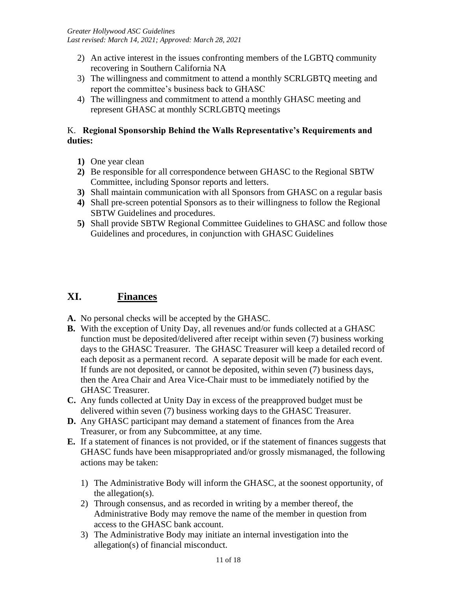- 2) An active interest in the issues confronting members of the LGBTQ community recovering in Southern California NA
- 3) The willingness and commitment to attend a monthly SCRLGBTQ meeting and report the committee's business back to GHASC
- 4) The willingness and commitment to attend a monthly GHASC meeting and represent GHASC at monthly SCRLGBTQ meetings

## K. **Regional Sponsorship Behind the Walls Representative's Requirements and duties:**

- **1)** One year clean
- **2)** Be responsible for all correspondence between GHASC to the Regional SBTW Committee, including Sponsor reports and letters.
- **3)** Shall maintain communication with all Sponsors from GHASC on a regular basis
- **4)** Shall pre-screen potential Sponsors as to their willingness to follow the Regional SBTW Guidelines and procedures.
- **5)** Shall provide SBTW Regional Committee Guidelines to GHASC and follow those Guidelines and procedures, in conjunction with GHASC Guidelines

# **XI. Finances**

- **A.** No personal checks will be accepted by the GHASC.
- **B.** With the exception of Unity Day, all revenues and/or funds collected at a GHASC function must be deposited/delivered after receipt within seven (7) business working days to the GHASC Treasurer. The GHASC Treasurer will keep a detailed record of each deposit as a permanent record. A separate deposit will be made for each event. If funds are not deposited, or cannot be deposited, within seven (7) business days, then the Area Chair and Area Vice-Chair must to be immediately notified by the GHASC Treasurer.
- **C.** Any funds collected at Unity Day in excess of the preapproved budget must be delivered within seven (7) business working days to the GHASC Treasurer.
- **D.** Any GHASC participant may demand a statement of finances from the Area Treasurer, or from any Subcommittee, at any time.
- **E.** If a statement of finances is not provided, or if the statement of finances suggests that GHASC funds have been misappropriated and/or grossly mismanaged, the following actions may be taken:
	- 1) The Administrative Body will inform the GHASC, at the soonest opportunity, of the allegation(s).
	- 2) Through consensus, and as recorded in writing by a member thereof, the Administrative Body may remove the name of the member in question from access to the GHASC bank account.
	- 3) The Administrative Body may initiate an internal investigation into the allegation(s) of financial misconduct.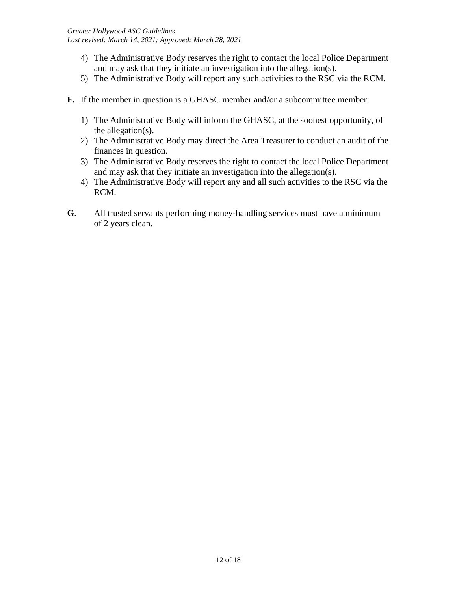- 4) The Administrative Body reserves the right to contact the local Police Department and may ask that they initiate an investigation into the allegation(s).
- 5) The Administrative Body will report any such activities to the RSC via the RCM.
- **F.** If the member in question is a GHASC member and/or a subcommittee member:
	- 1) The Administrative Body will inform the GHASC, at the soonest opportunity, of the allegation(s).
	- 2) The Administrative Body may direct the Area Treasurer to conduct an audit of the finances in question.
	- 3) The Administrative Body reserves the right to contact the local Police Department and may ask that they initiate an investigation into the allegation(s).
	- 4) The Administrative Body will report any and all such activities to the RSC via the RCM.
- **G**. All trusted servants performing money-handling services must have a minimum of 2 years clean.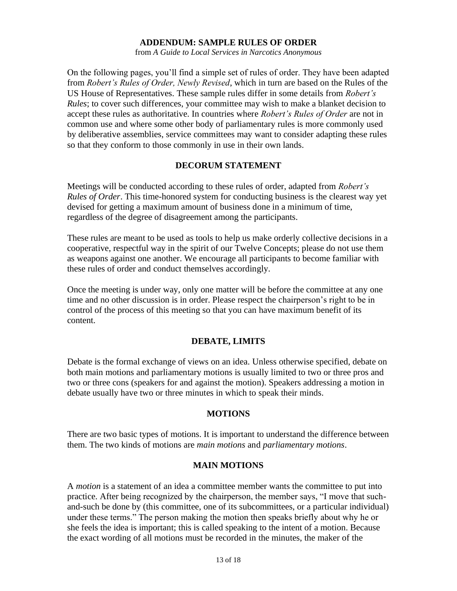#### **ADDENDUM: SAMPLE RULES OF ORDER**

from *A Guide to Local Services in Narcotics Anonymous*

On the following pages, you'll find a simple set of rules of order. They have been adapted from *Robert's Rules of Order, Newly Revised*, which in turn are based on the Rules of the US House of Representatives. These sample rules differ in some details from *Robert's Rules*; to cover such differences, your committee may wish to make a blanket decision to accept these rules as authoritative. In countries where *Robert's Rules of Order* are not in common use and where some other body of parliamentary rules is more commonly used by deliberative assemblies, service committees may want to consider adapting these rules so that they conform to those commonly in use in their own lands.

#### **DECORUM STATEMENT**

Meetings will be conducted according to these rules of order, adapted from *Robert's Rules of Order*. This time-honored system for conducting business is the clearest way yet devised for getting a maximum amount of business done in a minimum of time, regardless of the degree of disagreement among the participants.

These rules are meant to be used as tools to help us make orderly collective decisions in a cooperative, respectful way in the spirit of our Twelve Concepts; please do not use them as weapons against one another. We encourage all participants to become familiar with these rules of order and conduct themselves accordingly.

Once the meeting is under way, only one matter will be before the committee at any one time and no other discussion is in order. Please respect the chairperson's right to be in control of the process of this meeting so that you can have maximum benefit of its content.

#### **DEBATE, LIMITS**

Debate is the formal exchange of views on an idea. Unless otherwise specified, debate on both main motions and parliamentary motions is usually limited to two or three pros and two or three cons (speakers for and against the motion). Speakers addressing a motion in debate usually have two or three minutes in which to speak their minds.

#### **MOTIONS**

There are two basic types of motions. It is important to understand the difference between them. The two kinds of motions are *main motions* and *parliamentary motions*.

#### **MAIN MOTIONS**

A *motion* is a statement of an idea a committee member wants the committee to put into practice. After being recognized by the chairperson, the member says, "I move that suchand-such be done by (this committee, one of its subcommittees, or a particular individual) under these terms." The person making the motion then speaks briefly about why he or she feels the idea is important; this is called speaking to the intent of a motion. Because the exact wording of all motions must be recorded in the minutes, the maker of the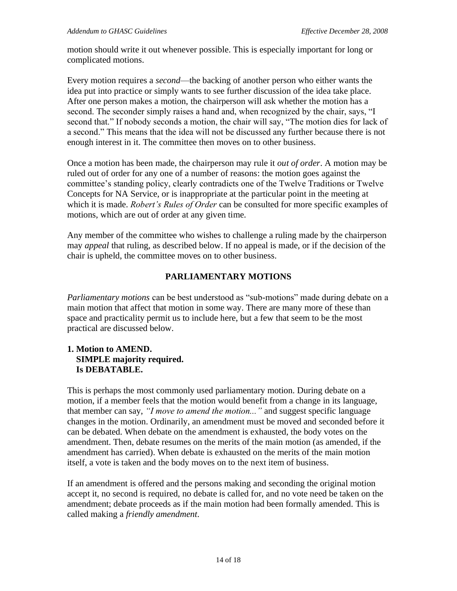motion should write it out whenever possible. This is especially important for long or complicated motions.

Every motion requires a *second*—the backing of another person who either wants the idea put into practice or simply wants to see further discussion of the idea take place. After one person makes a motion, the chairperson will ask whether the motion has a second. The seconder simply raises a hand and, when recognized by the chair, says, "I second that." If nobody seconds a motion, the chair will say, "The motion dies for lack of a second." This means that the idea will not be discussed any further because there is not enough interest in it. The committee then moves on to other business.

Once a motion has been made, the chairperson may rule it *out of order*. A motion may be ruled out of order for any one of a number of reasons: the motion goes against the committee's standing policy, clearly contradicts one of the Twelve Traditions or Twelve Concepts for NA Service, or is inappropriate at the particular point in the meeting at which it is made. *Robert's Rules of Order* can be consulted for more specific examples of motions, which are out of order at any given time.

Any member of the committee who wishes to challenge a ruling made by the chairperson may *appeal* that ruling, as described below. If no appeal is made, or if the decision of the chair is upheld, the committee moves on to other business.

### **PARLIAMENTARY MOTIONS**

*Parliamentary motions* can be best understood as "sub-motions" made during debate on a main motion that affect that motion in some way. There are many more of these than space and practicality permit us to include here, but a few that seem to be the most practical are discussed below.

#### **1. Motion to AMEND. SIMPLE majority required. Is DEBATABLE.**

This is perhaps the most commonly used parliamentary motion. During debate on a motion, if a member feels that the motion would benefit from a change in its language, that member can say, *"I move to amend the motion..."* and suggest specific language changes in the motion. Ordinarily, an amendment must be moved and seconded before it can be debated. When debate on the amendment is exhausted, the body votes on the amendment. Then, debate resumes on the merits of the main motion (as amended, if the amendment has carried). When debate is exhausted on the merits of the main motion itself, a vote is taken and the body moves on to the next item of business.

If an amendment is offered and the persons making and seconding the original motion accept it, no second is required, no debate is called for, and no vote need be taken on the amendment; debate proceeds as if the main motion had been formally amended. This is called making a *friendly amendment*.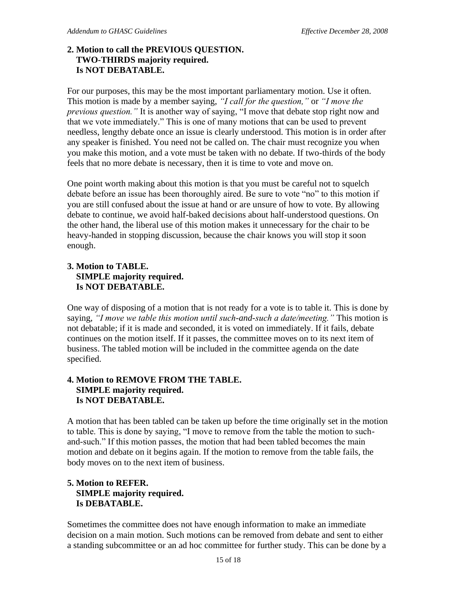### **2. Motion to call the PREVIOUS QUESTION. TWO-THIRDS majority required. Is NOT DEBATABLE.**

For our purposes, this may be the most important parliamentary motion. Use it often. This motion is made by a member saying, *"I call for the question,"* or *"I move the previous question."* It is another way of saying, "I move that debate stop right now and that we vote immediately." This is one of many motions that can be used to prevent needless, lengthy debate once an issue is clearly understood. This motion is in order after any speaker is finished. You need not be called on. The chair must recognize you when you make this motion, and a vote must be taken with no debate. If two-thirds of the body feels that no more debate is necessary, then it is time to vote and move on.

One point worth making about this motion is that you must be careful not to squelch debate before an issue has been thoroughly aired. Be sure to vote "no" to this motion if you are still confused about the issue at hand or are unsure of how to vote. By allowing debate to continue, we avoid half-baked decisions about half-understood questions. On the other hand, the liberal use of this motion makes it unnecessary for the chair to be heavy-handed in stopping discussion, because the chair knows you will stop it soon enough.

## **3. Motion to TABLE. SIMPLE majority required. Is NOT DEBATABLE.**

One way of disposing of a motion that is not ready for a vote is to table it. This is done by saying, *"I move we table this motion until such-and-such a date/meeting."* This motion is not debatable; if it is made and seconded, it is voted on immediately. If it fails, debate continues on the motion itself. If it passes, the committee moves on to its next item of business. The tabled motion will be included in the committee agenda on the date specified.

## **4. Motion to REMOVE FROM THE TABLE. SIMPLE majority required. Is NOT DEBATABLE.**

A motion that has been tabled can be taken up before the time originally set in the motion to table. This is done by saying, "I move to remove from the table the motion to suchand-such." If this motion passes, the motion that had been tabled becomes the main motion and debate on it begins again. If the motion to remove from the table fails, the body moves on to the next item of business.

#### **5. Motion to REFER. SIMPLE majority required. Is DEBATABLE.**

Sometimes the committee does not have enough information to make an immediate decision on a main motion. Such motions can be removed from debate and sent to either a standing subcommittee or an ad hoc committee for further study. This can be done by a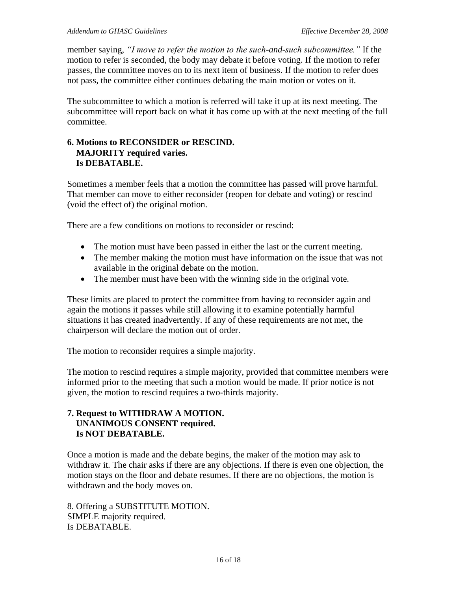member saying, *"I move to refer the motion to the such-and-such subcommittee."* If the motion to refer is seconded, the body may debate it before voting. If the motion to refer passes, the committee moves on to its next item of business. If the motion to refer does not pass, the committee either continues debating the main motion or votes on it.

The subcommittee to which a motion is referred will take it up at its next meeting. The subcommittee will report back on what it has come up with at the next meeting of the full committee.

#### **6. Motions to RECONSIDER or RESCIND. MAJORITY required varies. Is DEBATABLE.**

Sometimes a member feels that a motion the committee has passed will prove harmful. That member can move to either reconsider (reopen for debate and voting) or rescind (void the effect of) the original motion.

There are a few conditions on motions to reconsider or rescind:

- The motion must have been passed in either the last or the current meeting.
- The member making the motion must have information on the issue that was not available in the original debate on the motion.
- The member must have been with the winning side in the original vote.

These limits are placed to protect the committee from having to reconsider again and again the motions it passes while still allowing it to examine potentially harmful situations it has created inadvertently. If any of these requirements are not met, the chairperson will declare the motion out of order.

The motion to reconsider requires a simple majority.

The motion to rescind requires a simple majority, provided that committee members were informed prior to the meeting that such a motion would be made. If prior notice is not given, the motion to rescind requires a two-thirds majority.

#### **7. Request to WITHDRAW A MOTION. UNANIMOUS CONSENT required. Is NOT DEBATABLE.**

Once a motion is made and the debate begins, the maker of the motion may ask to withdraw it. The chair asks if there are any objections. If there is even one objection, the motion stays on the floor and debate resumes. If there are no objections, the motion is withdrawn and the body moves on.

8. Offering a SUBSTITUTE MOTION. SIMPLE majority required. Is DEBATABLE.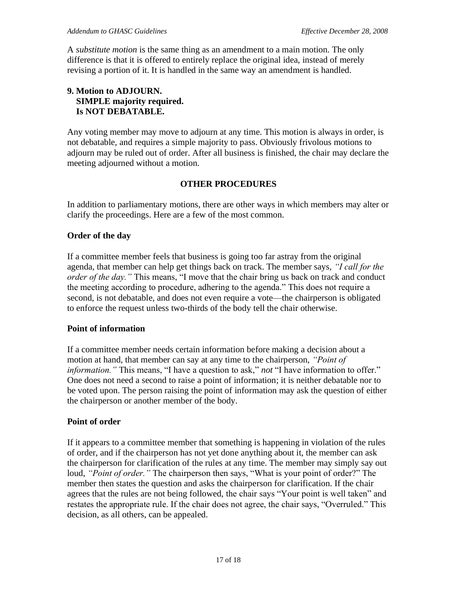A *substitute motion* is the same thing as an amendment to a main motion. The only difference is that it is offered to entirely replace the original idea, instead of merely revising a portion of it. It is handled in the same way an amendment is handled.

#### **9. Motion to ADJOURN. SIMPLE majority required. Is NOT DEBATABLE.**

Any voting member may move to adjourn at any time. This motion is always in order, is not debatable, and requires a simple majority to pass. Obviously frivolous motions to adjourn may be ruled out of order. After all business is finished, the chair may declare the meeting adjourned without a motion.

#### **OTHER PROCEDURES**

In addition to parliamentary motions, there are other ways in which members may alter or clarify the proceedings. Here are a few of the most common.

#### **Order of the day**

If a committee member feels that business is going too far astray from the original agenda, that member can help get things back on track. The member says, *"I call for the order of the day."* This means, "I move that the chair bring us back on track and conduct the meeting according to procedure, adhering to the agenda." This does not require a second, is not debatable, and does not even require a vote—the chairperson is obligated to enforce the request unless two-thirds of the body tell the chair otherwise.

#### **Point of information**

If a committee member needs certain information before making a decision about a motion at hand, that member can say at any time to the chairperson, *"Point of information."* This means, "I have a question to ask," *not* "I have information to offer." One does not need a second to raise a point of information; it is neither debatable nor to be voted upon. The person raising the point of information may ask the question of either the chairperson or another member of the body.

#### **Point of order**

If it appears to a committee member that something is happening in violation of the rules of order, and if the chairperson has not yet done anything about it, the member can ask the chairperson for clarification of the rules at any time. The member may simply say out loud, *"Point of order.*" The chairperson then says, "What is your point of order?" The member then states the question and asks the chairperson for clarification. If the chair agrees that the rules are not being followed, the chair says "Your point is well taken" and restates the appropriate rule. If the chair does not agree, the chair says, "Overruled." This decision, as all others, can be appealed.